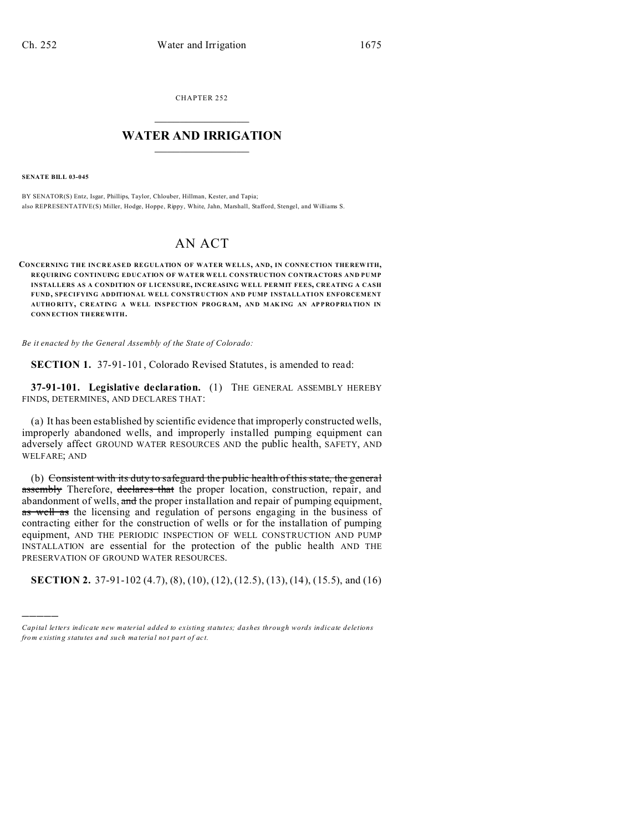CHAPTER 252  $\overline{\phantom{a}}$  , where  $\overline{\phantom{a}}$ 

## **WATER AND IRRIGATION**  $\_$   $\_$   $\_$   $\_$   $\_$   $\_$   $\_$   $\_$   $\_$

**SENATE BILL 03-045**

)))))

BY SENATOR(S) Entz, Isgar, Phillips, Taylor, Chlouber, Hillman, Kester, and Tapia; also REPRESENTATIVE(S) Miller, Hodge, Hoppe, Rippy, White, Jahn, Marshall, Stafford, Stengel, and Williams S.

## AN ACT

**CONCERNING THE INCREASED REGULATION OF WATER WELLS, AND, IN CONNE CTION THE REW ITH, REQUIRING CONTINUING EDUCATION OF WATER WELL CONSTRUCTION CONTRACTORS AND PUMP INSTALLERS AS A CONDITION OF LICENSURE, INCREASING WELL PERMIT FEES, CREATING A CASH FUND, SPECIFYING ADDITIONAL WELL CONSTRUCTION AND PUMP INSTALLATION ENFORCEMENT AUTHO RITY, CREATING A WELL INSPECTION PROG RAM, AND MAK ING AN AP PRO PRIATION IN CONN ECTION THEREWITH.**

*Be it enacted by the General Assembly of the State of Colorado:*

**SECTION 1.** 37-91-101, Colorado Revised Statutes, is amended to read:

**37-91-101. Legislative declaration.** (1) THE GENERAL ASSEMBLY HEREBY FINDS, DETERMINES, AND DECLARES THAT:

(a) It has been established by scientific evidence that improperly constructed wells, improperly abandoned wells, and improperly installed pumping equipment can adversely affect GROUND WATER RESOURCES AND the public health, SAFETY, AND WELFARE; AND

(b) Consistent with its duty to safeguard the public health of this state, the general assembly Therefore, declares that the proper location, construction, repair, and abandonment of wells, and the proper installation and repair of pumping equipment, as well as the licensing and regulation of persons engaging in the business of contracting either for the construction of wells or for the installation of pumping equipment, AND THE PERIODIC INSPECTION OF WELL CONSTRUCTION AND PUMP INSTALLATION are essential for the protection of the public health AND THE PRESERVATION OF GROUND WATER RESOURCES.

**SECTION 2.** 37-91-102 (4.7), (8), (10), (12), (12.5), (13), (14), (15.5), and (16)

*Capital letters indicate new material added to existing statutes; dashes through words indicate deletions from e xistin g statu tes a nd such ma teria l no t pa rt of ac t.*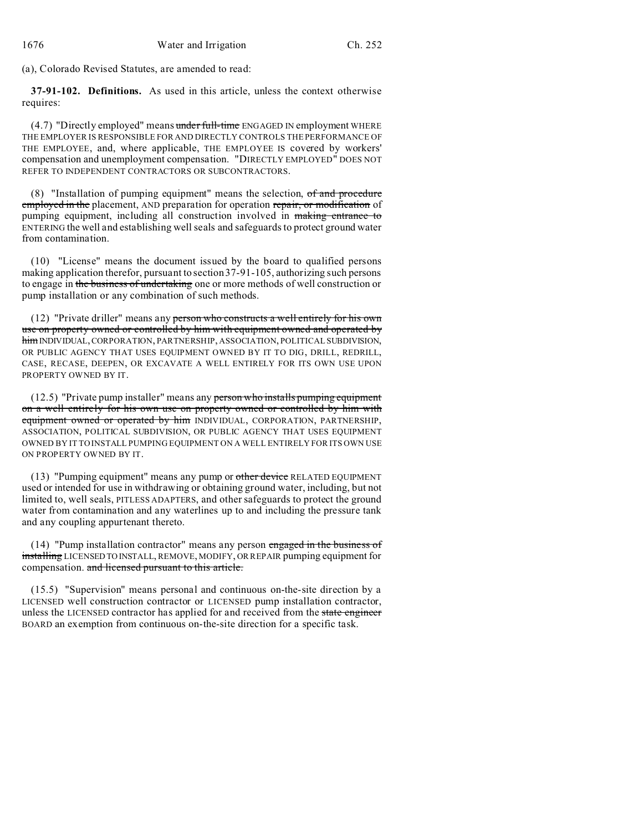(a), Colorado Revised Statutes, are amended to read:

**37-91-102. Definitions.** As used in this article, unless the context otherwise requires:

(4.7) "Directly employed" means under full-time ENGAGED IN employment WHERE THE EMPLOYER IS RESPONSIBLE FOR AND DIRECTLY CONTROLS THE PERFORMANCE OF THE EMPLOYEE, and, where applicable, THE EMPLOYEE IS covered by workers' compensation and unemployment compensation. "DIRECTLY EMPLOYED" DOES NOT REFER TO INDEPENDENT CONTRACTORS OR SUBCONTRACTORS.

 $(8)$  "Installation of pumping equipment" means the selection,  $of$  and procedure employed in the placement, AND preparation for operation repair, or modification of pumping equipment, including all construction involved in making entrance to ENTERING the well and establishing well seals and safeguards to protect ground water from contamination.

(10) "License" means the document issued by the board to qualified persons making application therefor, pursuant to section 37-91-105, authorizing such persons to engage in the business of undertaking one or more methods of well construction or pump installation or any combination of such methods.

(12) "Private driller" means any person who constructs a well entirely for his own use on property owned or controlled by him with equipment owned and operated by himINDIVIDUAL,CORPORATION, PARTNERSHIP, ASSOCIATION, POLITICAL SUBDIVISION, OR PUBLIC AGENCY THAT USES EQUIPMENT OWNED BY IT TO DIG, DRILL, REDRILL, CASE, RECASE, DEEPEN, OR EXCAVATE A WELL ENTIRELY FOR ITS OWN USE UPON PROPERTY OWNED BY IT.

(12.5) "Private pump installer" means any person who installs pumping equipment on a well entirely for his own use on property owned or controlled by him with equipment owned or operated by him INDIVIDUAL, CORPORATION, PARTNERSHIP, ASSOCIATION, POLITICAL SUBDIVISION, OR PUBLIC AGENCY THAT USES EQUIPMENT OWNED BY IT TO INSTALL PUMPING EQUIPMENT ON A WELL ENTIRELY FOR ITS OWN USE ON PROPERTY OWNED BY IT.

(13) "Pumping equipment" means any pump or other device RELATED EQUIPMENT used or intended for use in withdrawing or obtaining ground water, including, but not limited to, well seals, PITLESS ADAPTERS, and other safeguards to protect the ground water from contamination and any waterlines up to and including the pressure tank and any coupling appurtenant thereto.

(14) "Pump installation contractor" means any person engaged in the business of installing LICENSED TO INSTALL, REMOVE, MODIFY, OR REPAIR pumping equipment for compensation. and licensed pursuant to this article.

(15.5) "Supervision" means personal and continuous on-the-site direction by a LICENSED well construction contractor or LICENSED pump installation contractor, unless the LICENSED contractor has applied for and received from the state engineer BOARD an exemption from continuous on-the-site direction for a specific task.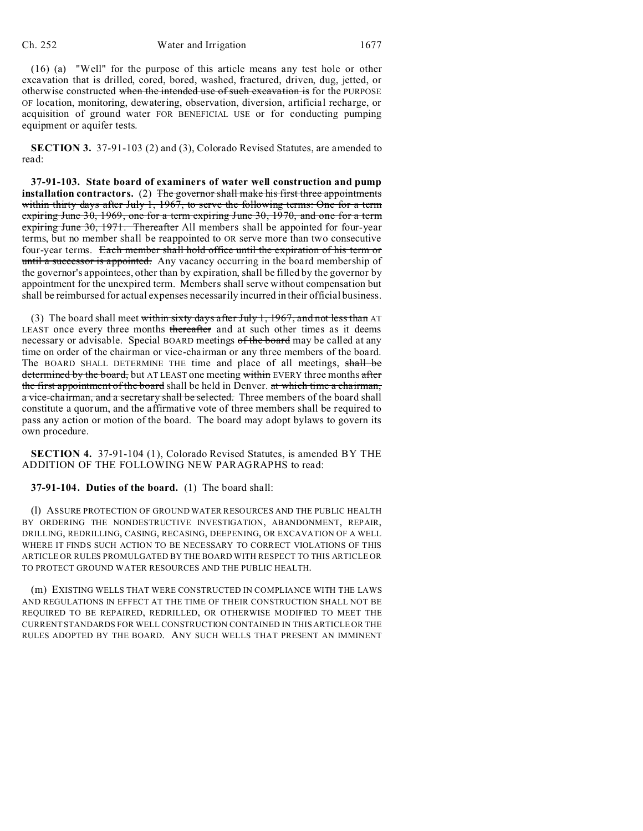(16) (a) "Well" for the purpose of this article means any test hole or other excavation that is drilled, cored, bored, washed, fractured, driven, dug, jetted, or otherwise constructed when the intended use of such excavation is for the PURPOSE OF location, monitoring, dewatering, observation, diversion, artificial recharge, or acquisition of ground water FOR BENEFICIAL USE or for conducting pumping equipment or aquifer tests.

**SECTION 3.** 37-91-103 (2) and (3), Colorado Revised Statutes, are amended to read:

**37-91-103. State board of examiners of water well construction and pump installation contractors.** (2) The governor shall make his first three appointments within thirty days after July 1, 1967, to serve the following terms: One for a term expiring June 30, 1969, one for a term expiring June 30, 1970, and one for a term expiring June 30, 1971. Thereafter All members shall be appointed for four-year terms, but no member shall be reappointed to OR serve more than two consecutive four-year terms. Each member shall hold office until the expiration of his term or until a successor is appointed. Any vacancy occurring in the board membership of the governor's appointees, other than by expiration, shall be filled by the governor by appointment for the unexpired term. Members shall serve without compensation but shall be reimbursed for actual expenses necessarily incurred in their official business.

(3) The board shall meet within sixty days after July 1, 1967, and not less than AT LEAST once every three months thereafter and at such other times as it deems necessary or advisable. Special BOARD meetings of the board may be called at any time on order of the chairman or vice-chairman or any three members of the board. The BOARD SHALL DETERMINE THE time and place of all meetings, shall be determined by the board, but AT LEAST one meeting within EVERY three months after the first appointment of the board shall be held in Denver. at which time a chairman, a vice-chairman, and a secretary shall be selected. Three members of the board shall constitute a quorum, and the affirmative vote of three members shall be required to pass any action or motion of the board. The board may adopt bylaws to govern its own procedure.

**SECTION 4.** 37-91-104 (1), Colorado Revised Statutes, is amended BY THE ADDITION OF THE FOLLOWING NEW PARAGRAPHS to read:

**37-91-104. Duties of the board.** (1) The board shall:

(l) ASSURE PROTECTION OF GROUND WATER RESOURCES AND THE PUBLIC HEALTH BY ORDERING THE NONDESTRUCTIVE INVESTIGATION, ABANDONMENT, REPAIR, DRILLING, REDRILLING, CASING, RECASING, DEEPENING, OR EXCAVATION OF A WELL WHERE IT FINDS SUCH ACTION TO BE NECESSARY TO CORRECT VIOLATIONS OF THIS ARTICLE OR RULES PROMULGATED BY THE BOARD WITH RESPECT TO THIS ARTICLE OR TO PROTECT GROUND WATER RESOURCES AND THE PUBLIC HEALTH.

(m) EXISTING WELLS THAT WERE CONSTRUCTED IN COMPLIANCE WITH THE LAWS AND REGULATIONS IN EFFECT AT THE TIME OF THEIR CONSTRUCTION SHALL NOT BE REQUIRED TO BE REPAIRED, REDRILLED, OR OTHERWISE MODIFIED TO MEET THE CURRENT STANDARDS FOR WELL CONSTRUCTION CONTAINED IN THIS ARTICLE OR THE RULES ADOPTED BY THE BOARD. ANY SUCH WELLS THAT PRESENT AN IMMINENT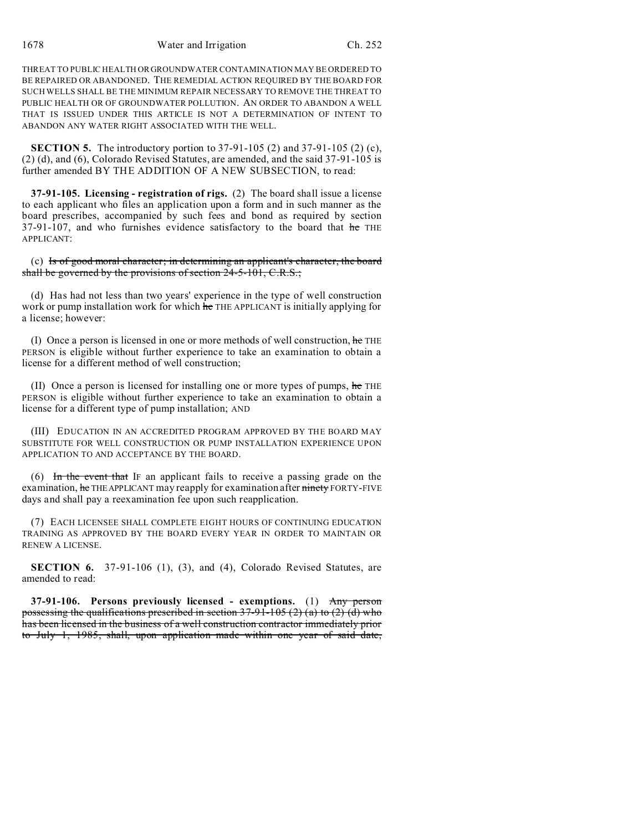1678 Water and Irrigation Ch. 252

THREAT TO PUBLIC HEALTH OR GROUNDWATER CONTAMINATION MAY BE ORDERED TO BE REPAIRED OR ABANDONED. THE REMEDIAL ACTION REQUIRED BY THE BOARD FOR SUCH WELLS SHALL BE THE MINIMUM REPAIR NECESSARY TO REMOVE THE THREAT TO PUBLIC HEALTH OR OF GROUNDWATER POLLUTION. AN ORDER TO ABANDON A WELL THAT IS ISSUED UNDER THIS ARTICLE IS NOT A DETERMINATION OF INTENT TO ABANDON ANY WATER RIGHT ASSOCIATED WITH THE WELL.

**SECTION 5.** The introductory portion to 37-91-105 (2) and 37-91-105 (2) (c), (2) (d), and (6), Colorado Revised Statutes, are amended, and the said 37-91-105 is further amended BY THE ADDITION OF A NEW SUBSECTION, to read:

**37-91-105. Licensing - registration of rigs.** (2) The board shall issue a license to each applicant who files an application upon a form and in such manner as the board prescribes, accompanied by such fees and bond as required by section  $37-91-107$ , and who furnishes evidence satisfactory to the board that he THE APPLICANT:

(c) Is of good moral character; in determining an applicant's character, the board shall be governed by the provisions of section 24-5-101, C.R.S.;

(d) Has had not less than two years' experience in the type of well construction work or pump installation work for which he THE APPLICANT is initially applying for a license; however:

(I) Once a person is licensed in one or more methods of well construction,  $he$  THE PERSON is eligible without further experience to take an examination to obtain a license for a different method of well construction;

(II) Once a person is licensed for installing one or more types of pumps, he THE PERSON is eligible without further experience to take an examination to obtain a license for a different type of pump installation; AND

(III) EDUCATION IN AN ACCREDITED PROGRAM APPROVED BY THE BOARD MAY SUBSTITUTE FOR WELL CONSTRUCTION OR PUMP INSTALLATION EXPERIENCE UPON APPLICATION TO AND ACCEPTANCE BY THE BOARD.

(6) In the event that IF an applicant fails to receive a passing grade on the examination, he THE APPLICANT may reapply for examination after ninety FORTY-FIVE days and shall pay a reexamination fee upon such reapplication.

(7) EACH LICENSEE SHALL COMPLETE EIGHT HOURS OF CONTINUING EDUCATION TRAINING AS APPROVED BY THE BOARD EVERY YEAR IN ORDER TO MAINTAIN OR RENEW A LICENSE.

**SECTION 6.** 37-91-106 (1), (3), and (4), Colorado Revised Statutes, are amended to read:

**37-91-106. Persons previously licensed - exemptions.** (1) Any person possessing the qualifications prescribed in section  $37-91-105$  (2) (a) to (2) (d) who has been licensed in the business of a well construction contractor immediately prior to July 1, 1985, shall, upon application made within one year of said date,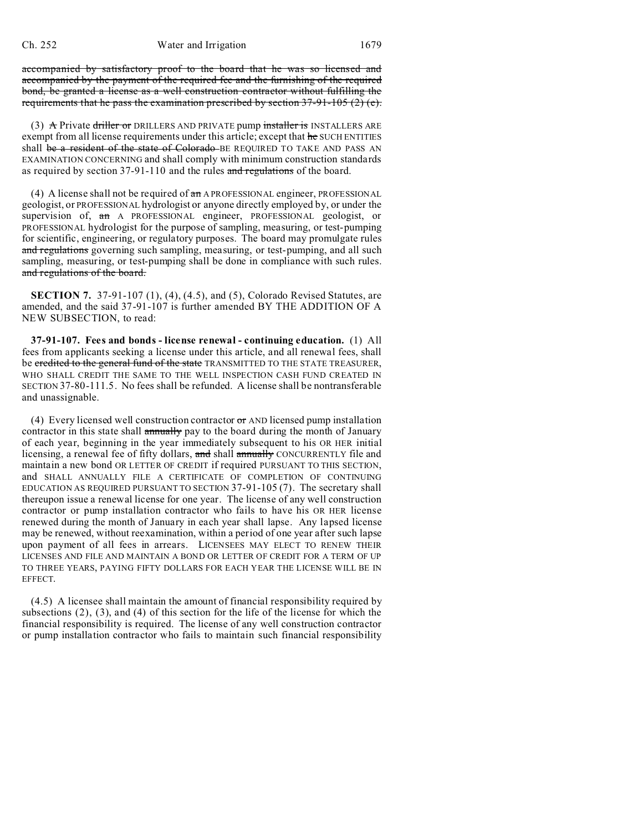accompanied by satisfactory proof to the board that he was so licensed and accompanied by the payment of the required fee and the furnishing of the required bond, be granted a license as a well construction contractor without fulfilling the requirements that he pass the examination prescribed by section  $37-91-105$  (2) (e).

(3)  $\land$  Private driller or DRILLERS AND PRIVATE pump installer is INSTALLERS ARE exempt from all license requirements under this article; except that he SUCH ENTITIES shall be a resident of the state of Colorado BE REQUIRED TO TAKE AND PASS AN EXAMINATION CONCERNING and shall comply with minimum construction standards as required by section 37-91-110 and the rules and regulations of the board.

(4) A license shall not be required of  $\theta$  and A PROFESSIONAL engineer, PROFESSIONAL geologist, or PROFESSIONAL hydrologist or anyone directly employed by, or under the supervision of, an A PROFESSIONAL engineer, PROFESSIONAL geologist, or PROFESSIONAL hydrologist for the purpose of sampling, measuring, or test-pumping for scientific, engineering, or regulatory purposes. The board may promulgate rules and regulations governing such sampling, measuring, or test-pumping, and all such sampling, measuring, or test-pumping shall be done in compliance with such rules. and regulations of the board.

**SECTION 7.** 37-91-107 (1), (4), (4.5), and (5), Colorado Revised Statutes, are amended, and the said 37-91-107 is further amended BY THE ADDITION OF A NEW SUBSECTION, to read:

**37-91-107. Fees and bonds - license renewal - continuing education.** (1) All fees from applicants seeking a license under this article, and all renewal fees, shall be credited to the general fund of the state TRANSMITTED TO THE STATE TREASURER, WHO SHALL CREDIT THE SAME TO THE WELL INSPECTION CASH FUND CREATED IN SECTION 37-80-111.5. No fees shall be refunded. A license shall be nontransferable and unassignable.

(4) Every licensed well construction contractor  $\sigma$  AND licensed pump installation contractor in this state shall annually pay to the board during the month of January of each year, beginning in the year immediately subsequent to his OR HER initial licensing, a renewal fee of fifty dollars, and shall annually CONCURRENTLY file and maintain a new bond OR LETTER OF CREDIT if required PURSUANT TO THIS SECTION, and SHALL ANNUALLY FILE A CERTIFICATE OF COMPLETION OF CONTINUING EDUCATION AS REQUIRED PURSUANT TO SECTION 37-91-105 (7). The secretary shall thereupon issue a renewal license for one year. The license of any well construction contractor or pump installation contractor who fails to have his OR HER license renewed during the month of January in each year shall lapse. Any lapsed license may be renewed, without reexamination, within a period of one year after such lapse upon payment of all fees in arrears. LICENSEES MAY ELECT TO RENEW THEIR LICENSES AND FILE AND MAINTAIN A BOND OR LETTER OF CREDIT FOR A TERM OF UP TO THREE YEARS, PAYING FIFTY DOLLARS FOR EACH YEAR THE LICENSE WILL BE IN EFFECT.

(4.5) A licensee shall maintain the amount of financial responsibility required by subsections (2), (3), and (4) of this section for the life of the license for which the financial responsibility is required. The license of any well construction contractor or pump installation contractor who fails to maintain such financial responsibility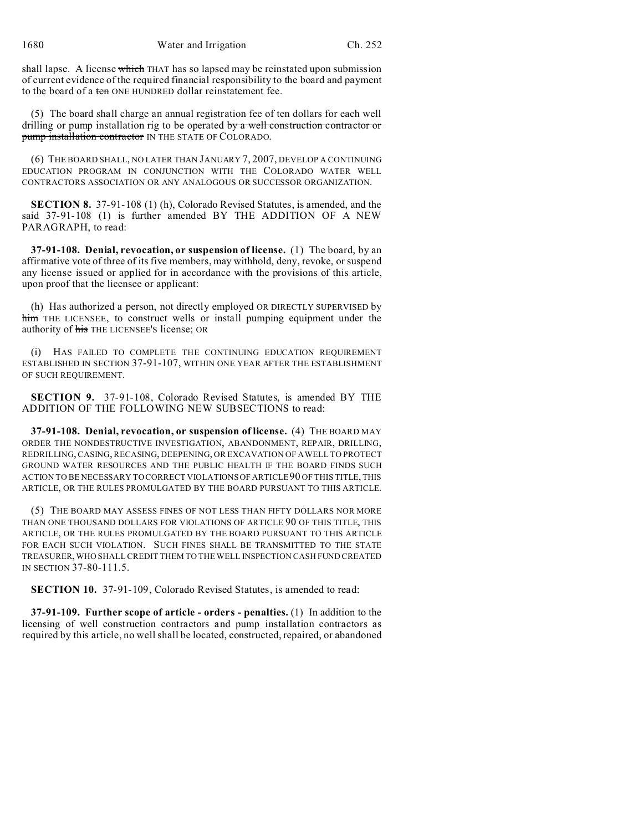1680 Water and Irrigation Ch. 252

shall lapse. A license which THAT has so lapsed may be reinstated upon submission of current evidence of the required financial responsibility to the board and payment to the board of a ten ONE HUNDRED dollar reinstatement fee.

(5) The board shall charge an annual registration fee of ten dollars for each well drilling or pump installation rig to be operated by a well construction contractor or pump installation contractor IN THE STATE OF COLORADO.

(6) THE BOARD SHALL, NO LATER THAN JANUARY 7, 2007, DEVELOP A CONTINUING EDUCATION PROGRAM IN CONJUNCTION WITH THE COLORADO WATER WELL CONTRACTORS ASSOCIATION OR ANY ANALOGOUS OR SUCCESSOR ORGANIZATION.

**SECTION 8.** 37-91-108 (1) (h), Colorado Revised Statutes, is amended, and the said 37-91-108 (1) is further amended BY THE ADDITION OF A NEW PARAGRAPH, to read:

**37-91-108. Denial, revocation, or suspension of license.** (1) The board, by an affirmative vote of three of its five members, may withhold, deny, revoke, or suspend any license issued or applied for in accordance with the provisions of this article, upon proof that the licensee or applicant:

(h) Has authorized a person, not directly employed OR DIRECTLY SUPERVISED by him THE LICENSEE, to construct wells or install pumping equipment under the authority of his THE LICENSEE'S license; OR

(i) HAS FAILED TO COMPLETE THE CONTINUING EDUCATION REQUIREMENT ESTABLISHED IN SECTION 37-91-107, WITHIN ONE YEAR AFTER THE ESTABLISHMENT OF SUCH REQUIREMENT.

**SECTION 9.** 37-91-108, Colorado Revised Statutes, is amended BY THE ADDITION OF THE FOLLOWING NEW SUBSECTIONS to read:

**37-91-108. Denial, revocation, or suspension of license.** (4) THE BOARD MAY ORDER THE NONDESTRUCTIVE INVESTIGATION, ABANDONMENT, REPAIR, DRILLING, REDRILLING, CASING, RECASING, DEEPENING, OR EXCAVATION OF A WELL TO PROTECT GROUND WATER RESOURCES AND THE PUBLIC HEALTH IF THE BOARD FINDS SUCH ACTION TO BE NECESSARY TO CORRECT VIOLATIONSOF ARTICLE 90 OF THIS TITLE, THIS ARTICLE, OR THE RULES PROMULGATED BY THE BOARD PURSUANT TO THIS ARTICLE.

(5) THE BOARD MAY ASSESS FINES OF NOT LESS THAN FIFTY DOLLARS NOR MORE THAN ONE THOUSAND DOLLARS FOR VIOLATIONS OF ARTICLE 90 OF THIS TITLE, THIS ARTICLE, OR THE RULES PROMULGATED BY THE BOARD PURSUANT TO THIS ARTICLE FOR EACH SUCH VIOLATION. SUCH FINES SHALL BE TRANSMITTED TO THE STATE TREASURER, WHO SHALL CREDIT THEM TO THE WELL INSPECTION CASH FUND CREATED IN SECTION 37-80-111.5.

**SECTION 10.** 37-91-109, Colorado Revised Statutes, is amended to read:

**37-91-109. Further scope of article - orders - penalties.** (1) In addition to the licensing of well construction contractors and pump installation contractors as required by this article, no well shall be located, constructed, repaired, or abandoned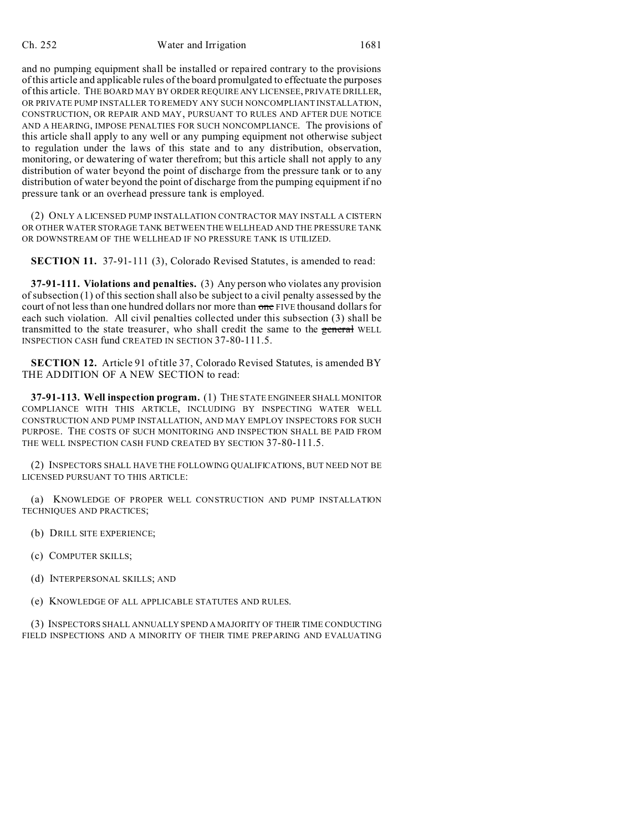## Ch. 252 Water and Irrigation 1681

and no pumping equipment shall be installed or repaired contrary to the provisions of this article and applicable rules of the board promulgated to effectuate the purposes of this article. THE BOARD MAY BY ORDER REQUIRE ANY LICENSEE, PRIVATE DRILLER, OR PRIVATE PUMP INSTALLER TO REMEDY ANY SUCH NONCOMPLIANT INSTALLATION, CONSTRUCTION, OR REPAIR AND MAY, PURSUANT TO RULES AND AFTER DUE NOTICE AND A HEARING, IMPOSE PENALTIES FOR SUCH NONCOMPLIANCE. The provisions of this article shall apply to any well or any pumping equipment not otherwise subject to regulation under the laws of this state and to any distribution, observation, monitoring, or dewatering of water therefrom; but this article shall not apply to any distribution of water beyond the point of discharge from the pressure tank or to any distribution of water beyond the point of discharge from the pumping equipment if no pressure tank or an overhead pressure tank is employed.

(2) ONLY A LICENSED PUMP INSTALLATION CONTRACTOR MAY INSTALL A CISTERN OR OTHER WATER STORAGE TANK BETWEEN THE WELLHEAD AND THE PRESSURE TANK OR DOWNSTREAM OF THE WELLHEAD IF NO PRESSURE TANK IS UTILIZED.

**SECTION 11.** 37-91-111 (3), Colorado Revised Statutes, is amended to read:

**37-91-111. Violations and penalties.** (3) Any person who violates any provision of subsection (1) of this section shall also be subject to a civil penalty assessed by the court of not less than one hundred dollars nor more than one FIVE thousand dollars for each such violation. All civil penalties collected under this subsection (3) shall be transmitted to the state treasurer, who shall credit the same to the general WELL INSPECTION CASH fund CREATED IN SECTION 37-80-111.5.

**SECTION 12.** Article 91 of title 37, Colorado Revised Statutes, is amended BY THE ADDITION OF A NEW SECTION to read:

**37-91-113. Well inspection program.** (1) THE STATE ENGINEER SHALL MONITOR COMPLIANCE WITH THIS ARTICLE, INCLUDING BY INSPECTING WATER WELL CONSTRUCTION AND PUMP INSTALLATION, AND MAY EMPLOY INSPECTORS FOR SUCH PURPOSE. THE COSTS OF SUCH MONITORING AND INSPECTION SHALL BE PAID FROM THE WELL INSPECTION CASH FUND CREATED BY SECTION 37-80-111.5.

(2) INSPECTORS SHALL HAVE THE FOLLOWING QUALIFICATIONS, BUT NEED NOT BE LICENSED PURSUANT TO THIS ARTICLE:

(a) KNOWLEDGE OF PROPER WELL CONSTRUCTION AND PUMP INSTALLATION TECHNIQUES AND PRACTICES;

(b) DRILL SITE EXPERIENCE;

(c) COMPUTER SKILLS;

(d) INTERPERSONAL SKILLS; AND

(e) KNOWLEDGE OF ALL APPLICABLE STATUTES AND RULES.

(3) INSPECTORS SHALL ANNUALLY SPEND A MAJORITY OF THEIR TIME CONDUCTING FIELD INSPECTIONS AND A MINORITY OF THEIR TIME PREPARING AND EVALUATING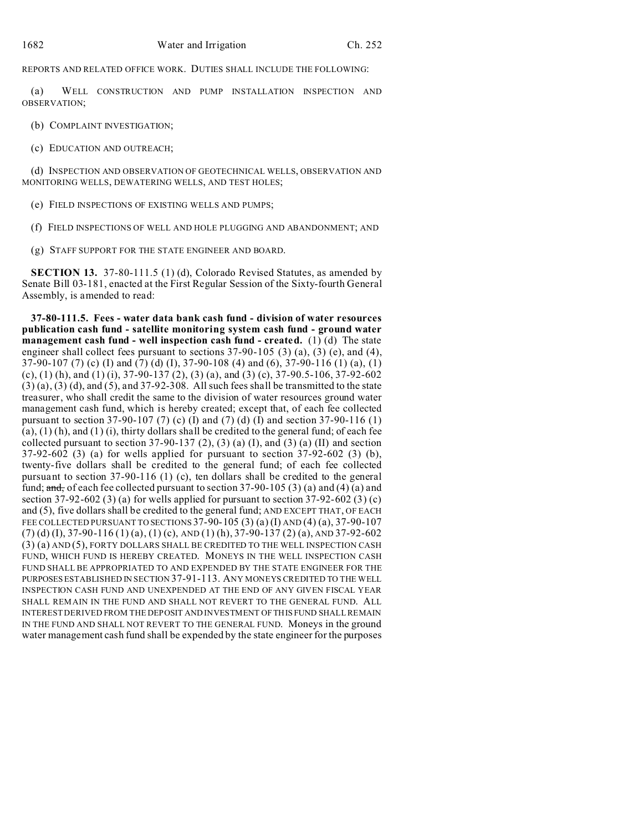REPORTS AND RELATED OFFICE WORK. DUTIES SHALL INCLUDE THE FOLLOWING:

(a) WELL CONSTRUCTION AND PUMP INSTALLATION INSPECTION AND OBSERVATION;

(b) COMPLAINT INVESTIGATION;

(c) EDUCATION AND OUTREACH;

(d) INSPECTION AND OBSERVATION OF GEOTECHNICAL WELLS, OBSERVATION AND MONITORING WELLS, DEWATERING WELLS, AND TEST HOLES;

(e) FIELD INSPECTIONS OF EXISTING WELLS AND PUMPS;

(f) FIELD INSPECTIONS OF WELL AND HOLE PLUGGING AND ABANDONMENT; AND

(g) STAFF SUPPORT FOR THE STATE ENGINEER AND BOARD.

**SECTION 13.** 37-80-111.5 (1) (d), Colorado Revised Statutes, as amended by Senate Bill 03-181, enacted at the First Regular Session of the Sixty-fourth General Assembly, is amended to read:

**37-80-111.5. Fees - water data bank cash fund - division of water resources publication cash fund - satellite monitoring system cash fund - ground water management cash fund - well inspection cash fund - created.** (1) (d) The state engineer shall collect fees pursuant to sections 37-90-105 (3) (a), (3) (e), and (4), 37-90-107 (7) (c) (I) and (7) (d) (I), 37-90-108 (4) and (6), 37-90-116 (1) (a), (1) (c), (1) (h), and (1) (i), 37-90-137 (2), (3) (a), and (3) (c), 37-90.5-106, 37-92-602  $(3)$  (a),  $(3)$  (d), and  $(5)$ , and  $37-92-308$ . All such fees shall be transmitted to the state treasurer, who shall credit the same to the division of water resources ground water management cash fund, which is hereby created; except that, of each fee collected pursuant to section 37-90-107 (7) (c) (I) and (7) (d) (I) and section 37-90-116 (1)  $(a)$ ,  $(1)$   $(h)$ , and  $(1)$   $(i)$ , thirty dollars shall be credited to the general fund; of each fee collected pursuant to section  $37-90-137$  (2), (3) (a) (I), and (3) (a) (II) and section 37-92-602 (3) (a) for wells applied for pursuant to section 37-92-602 (3) (b), twenty-five dollars shall be credited to the general fund; of each fee collected pursuant to section 37-90-116 (1) (c), ten dollars shall be credited to the general fund;  $\frac{1}{\text{and}}$ , of each fee collected pursuant to section 37-90-105 (3) (a) and (4) (a) and section 37-92-602 (3) (a) for wells applied for pursuant to section 37-92-602 (3) (c) and (5), five dollars shall be credited to the general fund; AND EXCEPT THAT, OF EACH FEE COLLECTED PURSUANT TO SECTIONS  $37-90-105$  (3) (a) (I) AND (4) (a),  $37-90-107$  $(7)$  (d) (I), 37-90-116 (1) (a), (1) (c), AND (1) (h), 37-90-137 (2) (a), AND 37-92-602 (3) (a) AND (5), FORTY DOLLARS SHALL BE CREDITED TO THE WELL INSPECTION CASH FUND, WHICH FUND IS HEREBY CREATED. MONEYS IN THE WELL INSPECTION CASH FUND SHALL BE APPROPRIATED TO AND EXPENDED BY THE STATE ENGINEER FOR THE PURPOSES ESTABLISHED IN SECTION 37-91-113. ANY MONEYS CREDITED TO THE WELL INSPECTION CASH FUND AND UNEXPENDED AT THE END OF ANY GIVEN FISCAL YEAR SHALL REMAIN IN THE FUND AND SHALL NOT REVERT TO THE GENERAL FUND. ALL INTEREST DERIVED FROM THE DEPOSIT AND INVESTMENT OF THIS FUND SHALL REMAIN IN THE FUND AND SHALL NOT REVERT TO THE GENERAL FUND. Moneys in the ground water management cash fund shall be expended by the state engineer for the purposes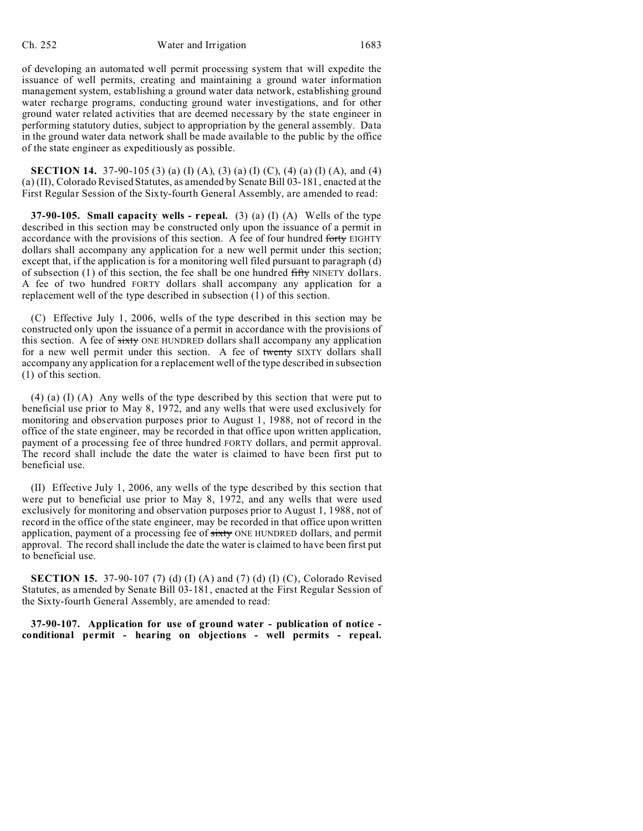of developing an automated well permit processing system that will expedite the issuance of well permits, creating and maintaining a ground water information management system, establishing a ground water data network, establishing ground water recharge programs, conducting ground water investigations, and for other ground water related activities that are deemed necessary by the state engineer in performing statutory duties, subject to appropriation by the general assembly. Data in the ground water data network shall be made available to the public by the office of the state engineer as expeditiously as possible.

**SECTION 14.** 37-90-105 (3) (a) (I) (A), (3) (a) (I) (C), (4) (a) (I) (A), and (4) (a) (II), Colorado Revised Statutes, as amended by Senate Bill 03-181, enacted at the First Regular Session of the Sixty-fourth General Assembly, are amended to read:

**37-90-105. Small capacity wells - repeal.** (3) (a) (I) (A) Wells of the type described in this section may be constructed only upon the issuance of a permit in accordance with the provisions of this section. A fee of four hundred forty EIGHTY dollars shall accompany any application for a new well permit under this section; except that, if the application is for a monitoring well filed pursuant to paragraph (d) of subsection  $(1)$  of this section, the fee shall be one hundred fifty NINETY dollars. A fee of two hundred FORTY dollars shall accompany any application for a replacement well of the type described in subsection (1) of this section.

(C) Effective July 1, 2006, wells of the type described in this section may be constructed only upon the issuance of a permit in accordance with the provisions of this section. A fee of sixty ONE HUNDRED dollars shall accompany any application for a new well permit under this section. A fee of twenty SIXTY dollars shall accompany any application for a replacement well of the type described in subsection (1) of this section.

(4) (a) (I) (A) Any wells of the type described by this section that were put to beneficial use prior to May 8, 1972, and any wells that were used exclusively for monitoring and observation purposes prior to August 1, 1988, not of record in the office of the state engineer, may be recorded in that office upon written application, payment of a processing fee of three hundred FORTY dollars, and permit approval. The record shall include the date the water is claimed to have been first put to beneficial use.

(II) Effective July 1, 2006, any wells of the type described by this section that were put to beneficial use prior to May 8, 1972, and any wells that were used exclusively for monitoring and observation purposes prior to August 1, 1988, not of record in the office of the state engineer, may be recorded in that office upon written application, payment of a processing fee of sixty ONE HUNDRED dollars, and permit approval. The record shall include the date the water is claimed to have been first put to beneficial use.

**SECTION 15.** 37-90-107 (7) (d) (I) (A) and (7) (d) (I) (C), Colorado Revised Statutes, as amended by Senate Bill 03-181, enacted at the First Regular Session of the Sixty-fourth General Assembly, are amended to read:

**37-90-107. Application for use of ground water - publication of notice conditional permit - hearing on objections - well permits - repeal.**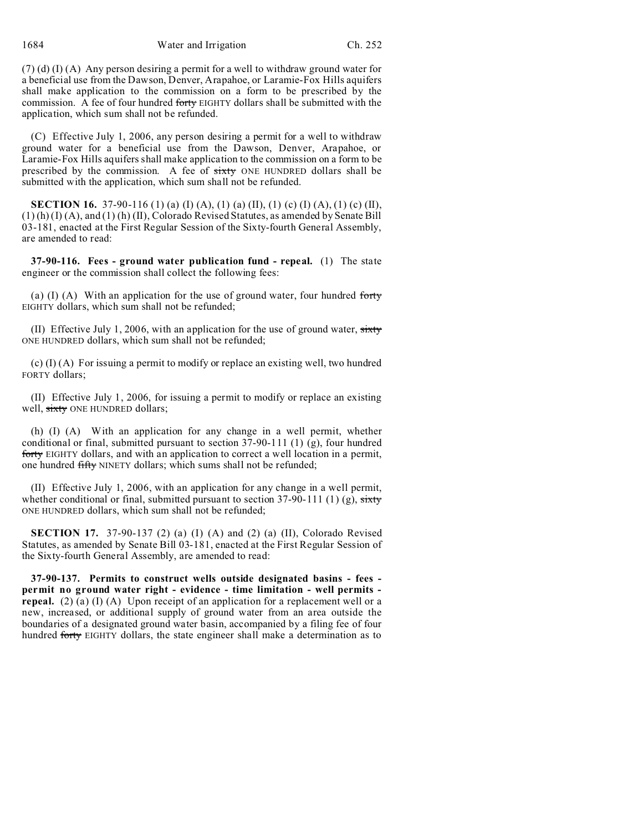1684 Water and Irrigation Ch. 252

(7) (d) (I) (A) Any person desiring a permit for a well to withdraw ground water for a beneficial use from the Dawson, Denver, Arapahoe, or Laramie-Fox Hills aquifers shall make application to the commission on a form to be prescribed by the commission. A fee of four hundred forty EIGHTY dollars shall be submitted with the application, which sum shall not be refunded.

(C) Effective July 1, 2006, any person desiring a permit for a well to withdraw ground water for a beneficial use from the Dawson, Denver, Arapahoe, or Laramie-Fox Hills aquifers shall make application to the commission on a form to be prescribed by the commission. A fee of sixty ONE HUNDRED dollars shall be submitted with the application, which sum shall not be refunded.

**SECTION 16.** 37-90-116 (1) (a) (I) (A), (1) (a) (II), (1) (c) (I) (A), (1) (c) (II), (1) (h) (I) (A), and (1) (h) (II), Colorado Revised Statutes, as amended by Senate Bill 03-181, enacted at the First Regular Session of the Sixty-fourth General Assembly, are amended to read:

**37-90-116. Fees - ground water publication fund - repeal.** (1) The state engineer or the commission shall collect the following fees:

(a) (I) (A) With an application for the use of ground water, four hundred forty EIGHTY dollars, which sum shall not be refunded;

(II) Effective July 1, 2006, with an application for the use of ground water,  $sixty$ ONE HUNDRED dollars, which sum shall not be refunded;

(c) (I) (A) For issuing a permit to modify or replace an existing well, two hundred FORTY dollars;

(II) Effective July 1, 2006, for issuing a permit to modify or replace an existing well, sixty ONE HUNDRED dollars;

(h) (I) (A) With an application for any change in a well permit, whether conditional or final, submitted pursuant to section  $37-90-111$  (1) (g), four hundred forty EIGHTY dollars, and with an application to correct a well location in a permit, one hundred fifty NINETY dollars; which sums shall not be refunded;

(II) Effective July 1, 2006, with an application for any change in a well permit, whether conditional or final, submitted pursuant to section 37-90-111 (1) (g), sixty ONE HUNDRED dollars, which sum shall not be refunded;

**SECTION 17.** 37-90-137 (2) (a) (I) (A) and (2) (a) (II), Colorado Revised Statutes, as amended by Senate Bill 03-181, enacted at the First Regular Session of the Sixty-fourth General Assembly, are amended to read:

**37-90-137. Permits to construct wells outside designated basins - fees permit no ground water right - evidence - time limitation - well permits repeal.** (2) (a) (I) (A) Upon receipt of an application for a replacement well or a new, increased, or additional supply of ground water from an area outside the boundaries of a designated ground water basin, accompanied by a filing fee of four hundred forty EIGHTY dollars, the state engineer shall make a determination as to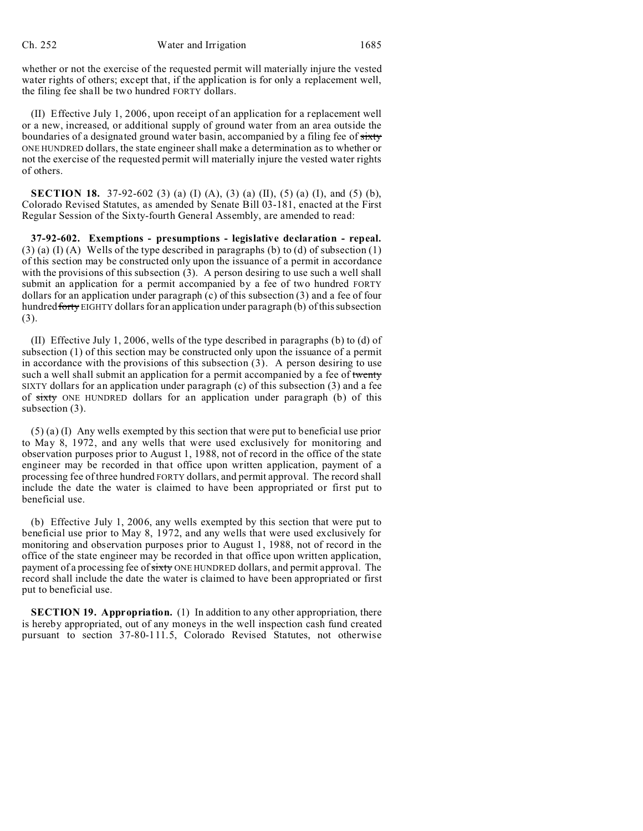whether or not the exercise of the requested permit will materially injure the vested water rights of others; except that, if the application is for only a replacement well, the filing fee shall be two hundred FORTY dollars.

(II) Effective July 1, 2006, upon receipt of an application for a replacement well or a new, increased, or additional supply of ground water from an area outside the boundaries of a designated ground water basin, accompanied by a filing fee of sixty ONE HUNDRED dollars, the state engineer shall make a determination as to whether or not the exercise of the requested permit will materially injure the vested water rights of others.

**SECTION 18.** 37-92-602 (3) (a) (I) (A), (3) (a) (II), (5) (a) (I), and (5) (b), Colorado Revised Statutes, as amended by Senate Bill 03-181, enacted at the First Regular Session of the Sixty-fourth General Assembly, are amended to read:

**37-92-602. Exemptions - presumptions - legislative declaration - repeal.**  $(3)$  (a) (I) (A) Wells of the type described in paragraphs (b) to (d) of subsection (1) of this section may be constructed only upon the issuance of a permit in accordance with the provisions of this subsection (3). A person desiring to use such a well shall submit an application for a permit accompanied by a fee of two hundred FORTY dollars for an application under paragraph (c) of this subsection (3) and a fee of four hundred forty EIGHTY dollars for an application under paragraph (b) of this subsection (3).

(II) Effective July 1, 2006, wells of the type described in paragraphs (b) to (d) of subsection (1) of this section may be constructed only upon the issuance of a permit in accordance with the provisions of this subsection (3). A person desiring to use such a well shall submit an application for a permit accompanied by a fee of twenty SIXTY dollars for an application under paragraph (c) of this subsection (3) and a fee of sixty ONE HUNDRED dollars for an application under paragraph (b) of this subsection (3).

(5) (a) (I) Any wells exempted by this section that were put to beneficial use prior to May 8, 1972, and any wells that were used exclusively for monitoring and observation purposes prior to August 1, 1988, not of record in the office of the state engineer may be recorded in that office upon written application, payment of a processing fee of three hundred FORTY dollars, and permit approval. The record shall include the date the water is claimed to have been appropriated or first put to beneficial use.

(b) Effective July 1, 2006, any wells exempted by this section that were put to beneficial use prior to May 8, 1972, and any wells that were used exclusively for monitoring and observation purposes prior to August 1, 1988, not of record in the office of the state engineer may be recorded in that office upon written application, payment of a processing fee of sixty ONE HUNDRED dollars, and permit approval. The record shall include the date the water is claimed to have been appropriated or first put to beneficial use.

**SECTION 19. Appropriation.** (1) In addition to any other appropriation, there is hereby appropriated, out of any moneys in the well inspection cash fund created pursuant to section 37-80-111.5, Colorado Revised Statutes, not otherwise